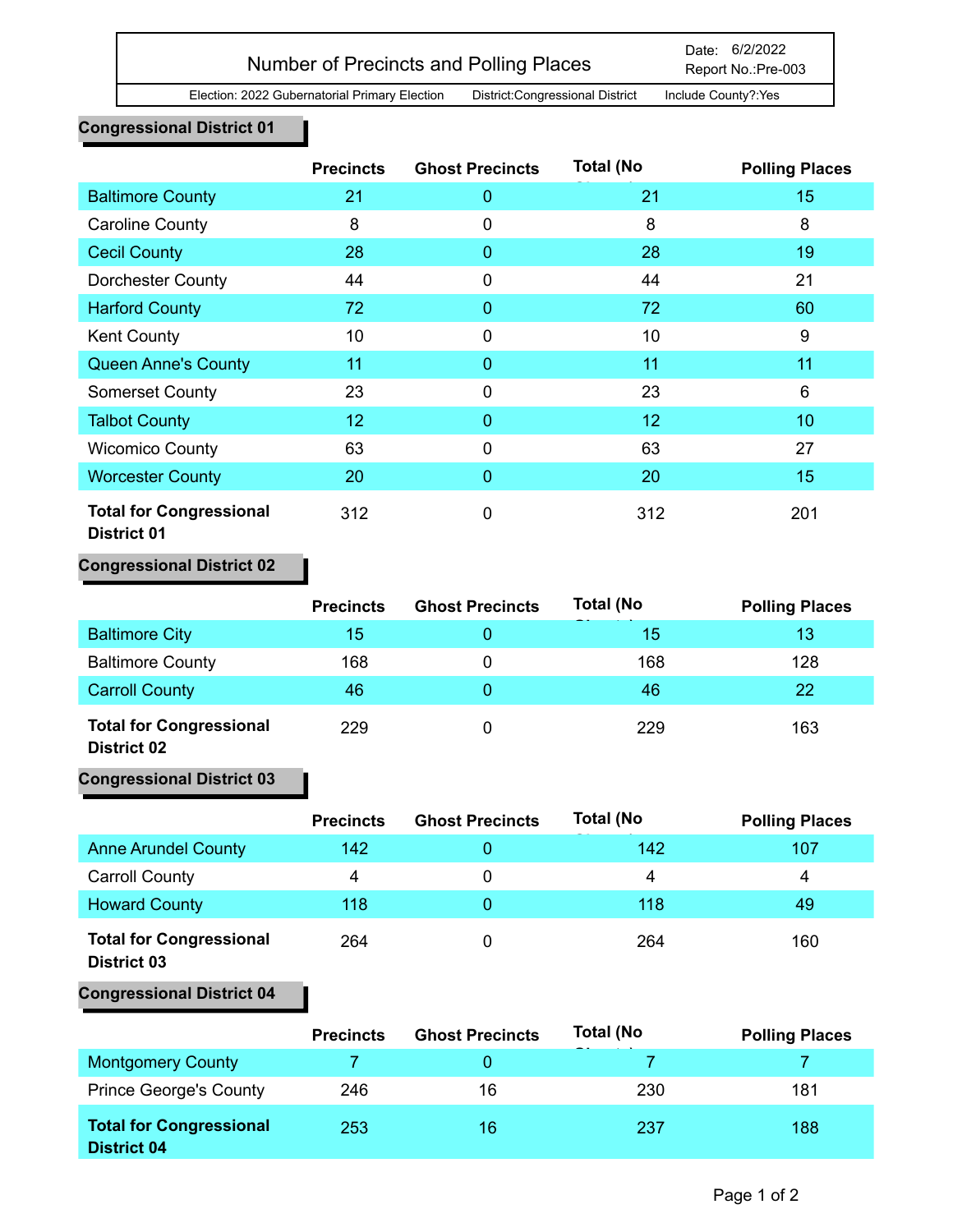# Number of Precincts and Polling Places

Election: 2022 Gubernatorial Primary Election District:Congressional District Include County?:Yes

## **Congressional District 01**

|                                                      | <b>Precincts</b> | <b>Ghost Precincts</b> | <b>Total (No</b> | <b>Polling Places</b> |
|------------------------------------------------------|------------------|------------------------|------------------|-----------------------|
| <b>Baltimore County</b>                              | 21               | 0                      | 21               | 15                    |
| <b>Caroline County</b>                               | 8                | 0                      | 8                | 8                     |
| <b>Cecil County</b>                                  | 28               | 0                      | 28               | 19                    |
| Dorchester County                                    | 44               | $\mathbf 0$            | 44               | 21                    |
| <b>Harford County</b>                                | 72               | 0                      | 72               | 60                    |
| <b>Kent County</b>                                   | 10               | 0                      | 10               | 9                     |
| <b>Queen Anne's County</b>                           | 11               | 0                      | 11               | 11                    |
| <b>Somerset County</b>                               | 23               | $\mathbf 0$            | 23               | 6                     |
| <b>Talbot County</b>                                 | 12               | $\Omega$               | 12               | 10                    |
| <b>Wicomico County</b>                               | 63               | 0                      | 63               | 27                    |
| <b>Worcester County</b>                              | 20               | 0                      | 20               | 15                    |
| <b>Total for Congressional</b><br><b>District 01</b> | 312              | 0                      | 312              | 201                   |

## **Congressional District 02**

|                                                  | <b>Precincts</b> | <b>Ghost Precincts</b> | <b>Total (No</b> | <b>Polling Places</b> |
|--------------------------------------------------|------------------|------------------------|------------------|-----------------------|
| <b>Baltimore City</b>                            | 15               |                        | 15               | 13                    |
| <b>Baltimore County</b>                          | 168              | 0                      | 168              | 128                   |
| <b>Carroll County</b>                            | 46               |                        | 46               | 22                    |
| <b>Total for Congressional</b><br><b>BIJIJAA</b> | 229              | 0                      | 229              | 163                   |

#### **District 02**

## **Congressional District 03**

|                                                      | <b>Precincts</b> | <b>Ghost Precincts</b> | <b>Total (No</b> | <b>Polling Places</b> |
|------------------------------------------------------|------------------|------------------------|------------------|-----------------------|
| <b>Anne Arundel County</b>                           | 142              |                        | 142              | 107                   |
| <b>Carroll County</b>                                | 4                | 0                      | 4                | 4                     |
| <b>Howard County</b>                                 | 118              |                        | 118              | 49                    |
| <b>Total for Congressional</b><br><b>District 03</b> | 264              |                        | 264              | 160                   |

#### **Congressional District 04**

|                                                      | <b>Precincts</b> | <b>Ghost Precincts</b> | <b>Total (No</b> | <b>Polling Places</b> |
|------------------------------------------------------|------------------|------------------------|------------------|-----------------------|
| <b>Montgomery County</b>                             |                  |                        |                  |                       |
| <b>Prince George's County</b>                        | 246              | 16                     | 230              | 181                   |
| <b>Total for Congressional</b><br><b>District 04</b> | 253              | 16                     | 237              | 188                   |